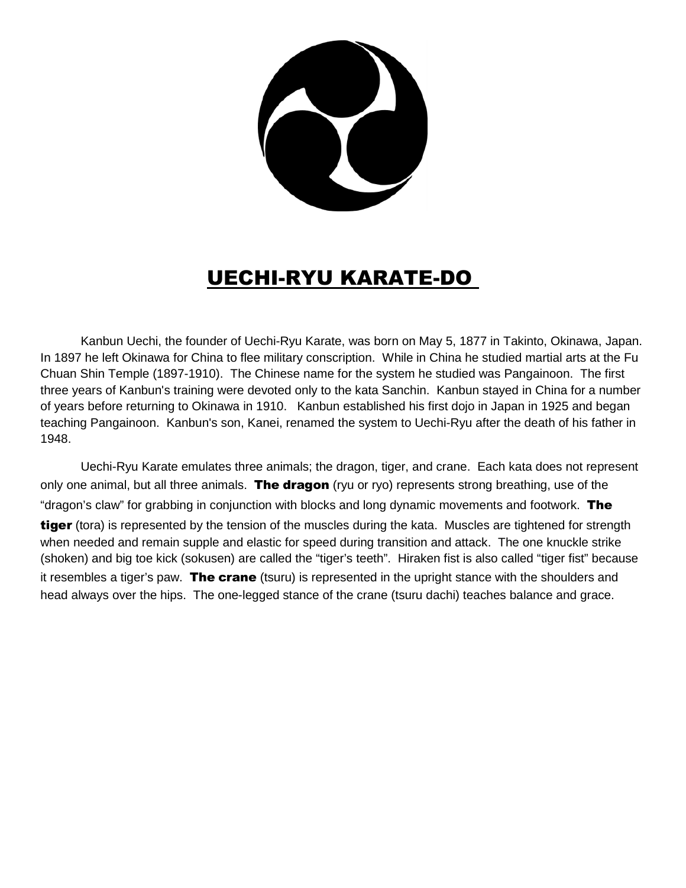

# UECHI-RYU KARATE-DO

Kanbun Uechi, the founder of Uechi-Ryu Karate, was born on May 5, 1877 in Takinto, Okinawa, Japan. In 1897 he left Okinawa for China to flee military conscription. While in China he studied martial arts at the Fu Chuan Shin Temple (1897-1910). The Chinese name for the system he studied was Pangainoon. The first three years of Kanbun's training were devoted only to the kata Sanchin. Kanbun stayed in China for a number of years before returning to Okinawa in 1910. Kanbun established his first dojo in Japan in 1925 and began teaching Pangainoon. Kanbun's son, Kanei, renamed the system to Uechi-Ryu after the death of his father in 1948.

Uechi-Ryu Karate emulates three animals; the dragon, tiger, and crane. Each kata does not represent only one animal, but all three animals. The dragon (ryu or ryo) represents strong breathing, use of the "dragon's claw" for grabbing in conjunction with blocks and long dynamic movements and footwork. The tiger (tora) is represented by the tension of the muscles during the kata. Muscles are tightened for strength when needed and remain supple and elastic for speed during transition and attack. The one knuckle strike (shoken) and big toe kick (sokusen) are called the "tiger's teeth". Hiraken fist is also called "tiger fist" because it resembles a tiger's paw. The crane (tsuru) is represented in the upright stance with the shoulders and head always over the hips. The one-legged stance of the crane (tsuru dachi) teaches balance and grace.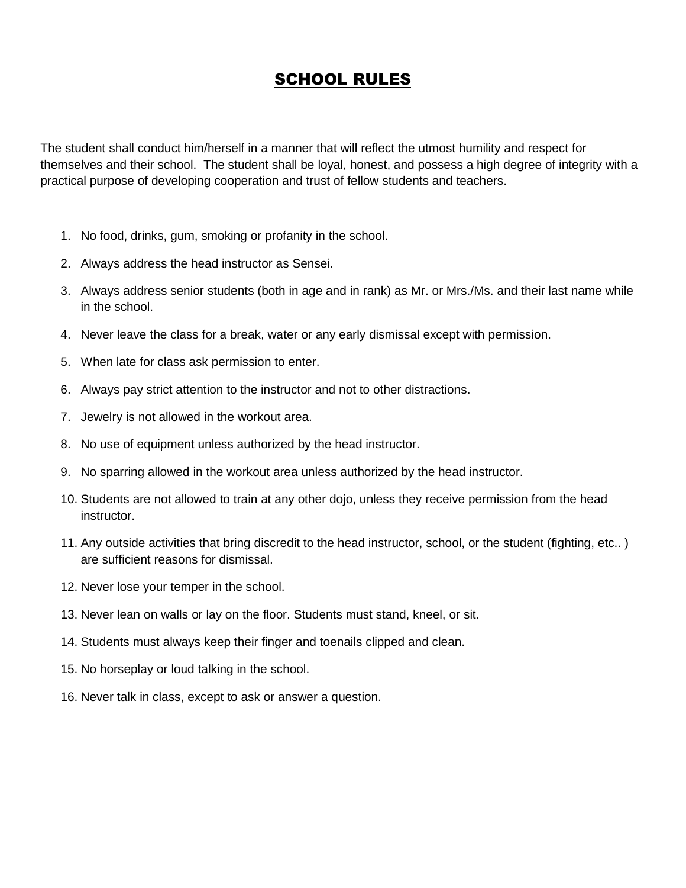## SCHOOL RULES

The student shall conduct him/herself in a manner that will reflect the utmost humility and respect for themselves and their school. The student shall be loyal, honest, and possess a high degree of integrity with a practical purpose of developing cooperation and trust of fellow students and teachers.

- 1. No food, drinks, gum, smoking or profanity in the school.
- 2. Always address the head instructor as Sensei.
- 3. Always address senior students (both in age and in rank) as Mr. or Mrs./Ms. and their last name while in the school.
- 4. Never leave the class for a break, water or any early dismissal except with permission.
- 5. When late for class ask permission to enter.
- 6. Always pay strict attention to the instructor and not to other distractions.
- 7. Jewelry is not allowed in the workout area.
- 8. No use of equipment unless authorized by the head instructor.
- 9. No sparring allowed in the workout area unless authorized by the head instructor.
- 10. Students are not allowed to train at any other dojo, unless they receive permission from the head instructor.
- 11. Any outside activities that bring discredit to the head instructor, school, or the student (fighting, etc.. ) are sufficient reasons for dismissal.
- 12. Never lose your temper in the school.
- 13. Never lean on walls or lay on the floor. Students must stand, kneel, or sit.
- 14. Students must always keep their finger and toenails clipped and clean.
- 15. No horseplay or loud talking in the school.
- 16. Never talk in class, except to ask or answer a question.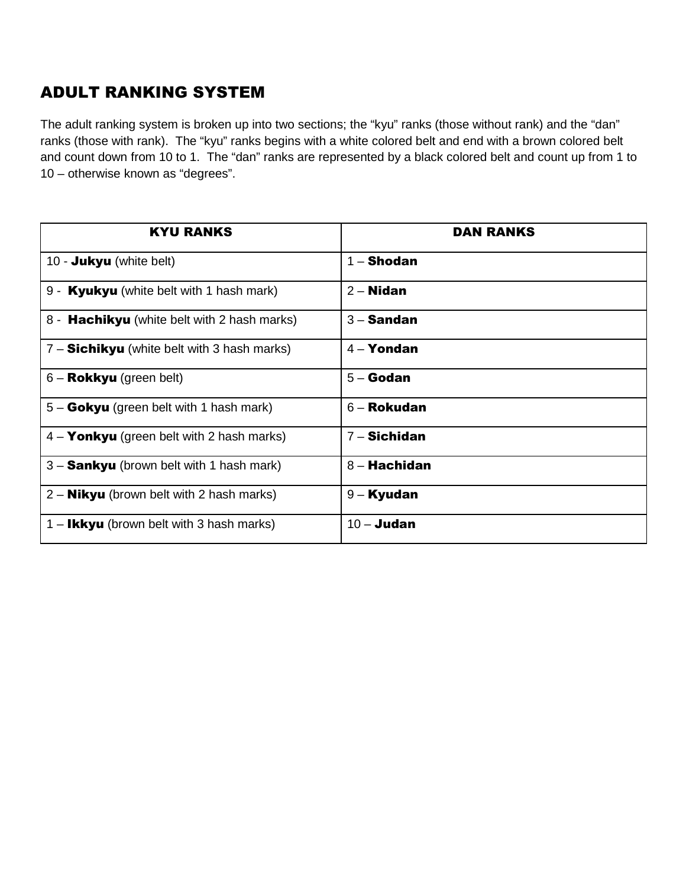## ADULT RANKING SYSTEM

The adult ranking system is broken up into two sections; the "kyu" ranks (those without rank) and the "dan" ranks (those with rank). The "kyu" ranks begins with a white colored belt and end with a brown colored belt and count down from 10 to 1. The "dan" ranks are represented by a black colored belt and count up from 1 to 10 – otherwise known as "degrees".

| <b>KYU RANKS</b>                                   | <b>DAN RANKS</b> |
|----------------------------------------------------|------------------|
| 10 - <b>Jukyu</b> (white belt)                     | $1 -$ Shodan     |
| 9 - Kyukyu (white belt with 1 hash mark)           | $2 -$ Nidan      |
| 8 - <b>Hachikyu</b> (white belt with 2 hash marks) | $3 -$ Sandan     |
| $7 - Sichikyu$ (white belt with 3 hash marks)      | $4 -$ Yondan     |
| $6 - \text{Rokkyu}$ (green belt)                   | $5 -$ Godan      |
| $5 - Gokyu$ (green belt with 1 hash mark)          | $6 -$ Rokudan    |
| $4 -$ Yonkyu (green belt with 2 hash marks)        | $7 -$ Sichidan   |
| $3 -$ Sankyu (brown belt with 1 hash mark)         | $8 -$ Hachidan   |
| $2 - Nikyu$ (brown belt with 2 hash marks)         | $9 -$ Kyudan     |
| 1 – <b>Ikkyu</b> (brown belt with 3 hash marks)    | $10 -$ Judan     |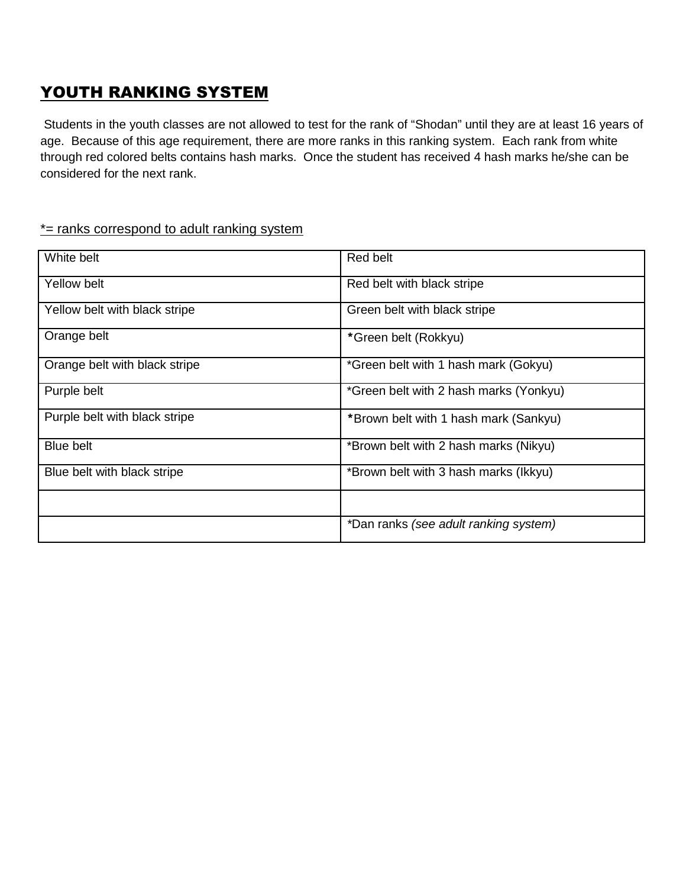## YOUTH RANKING SYSTEM

 Students in the youth classes are not allowed to test for the rank of "Shodan" until they are at least 16 years of age. Because of this age requirement, there are more ranks in this ranking system. Each rank from white through red colored belts contains hash marks. Once the student has received 4 hash marks he/she can be considered for the next rank.

#### \*= ranks correspond to adult ranking system

| White belt                    | <b>Red belt</b>                        |
|-------------------------------|----------------------------------------|
| Yellow belt                   | Red belt with black stripe             |
| Yellow belt with black stripe | Green belt with black stripe           |
| Orange belt                   | *Green belt (Rokkyu)                   |
| Orange belt with black stripe | *Green belt with 1 hash mark (Gokyu)   |
| Purple belt                   | *Green belt with 2 hash marks (Yonkyu) |
| Purple belt with black stripe | *Brown belt with 1 hash mark (Sankyu)  |
| <b>Blue belt</b>              | *Brown belt with 2 hash marks (Nikyu)  |
| Blue belt with black stripe   | *Brown belt with 3 hash marks (Ikkyu)  |
|                               |                                        |
|                               | *Dan ranks (see adult ranking system)  |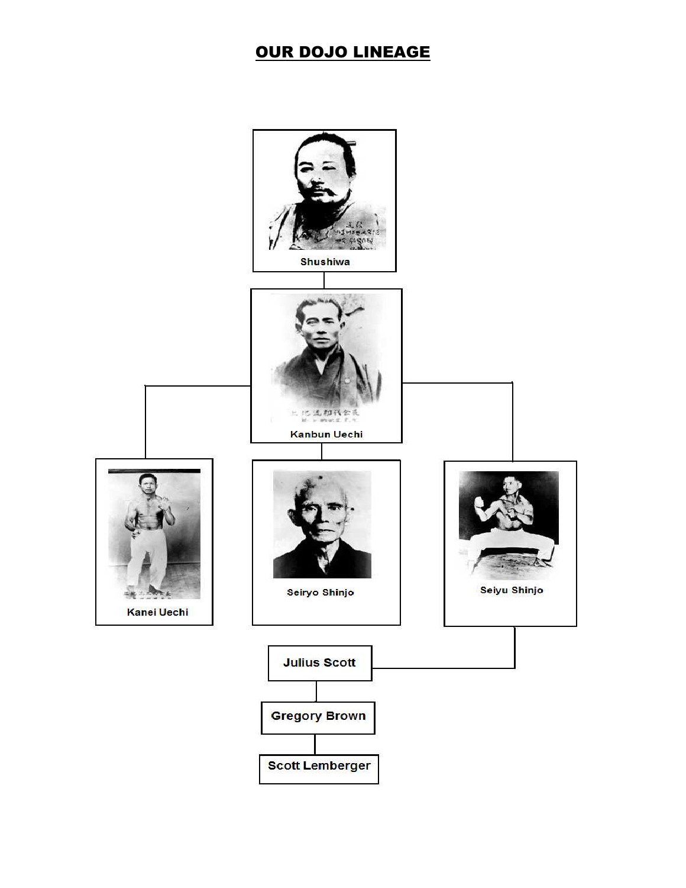## OUR DOJO LINEAGE

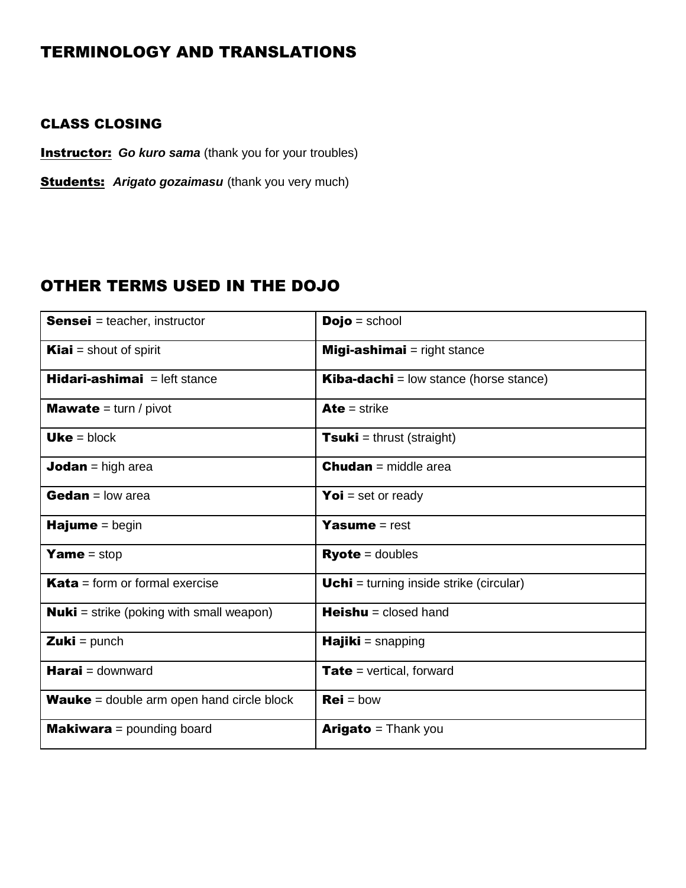## TERMINOLOGY AND TRANSLATIONS

#### CLASS CLOSING

**Instructor:** Go kuro sama (thank you for your troubles)

**Students:** Arigato gozaimasu (thank you very much)

### OTHER TERMS USED IN THE DOJO

| <b>Sensei</b> = teacher, instructor              | $\text{Dojo} = \text{school}$                  |
|--------------------------------------------------|------------------------------------------------|
| <b>Kiai</b> = shout of spirit                    | <b>Migi-ashimai</b> $=$ right stance           |
| <b>Hidari-ashimai</b> = left stance              | <b>Kiba-dachi</b> = low stance (horse stance)  |
| <b>Mawate</b> = $turn / pivot$                   | $\text{A}te = \text{strike}$                   |
| <b>Uke</b> = $block$                             | <b>Tsuki</b> = thrust (straight)               |
| <b>Jodan</b> = high area                         | <b>Chudan</b> = middle area                    |
| <b>Gedan</b> = low area                          | <b>Yoi</b> = set or ready                      |
| <b>Hajume</b> = begin                            | <b>Yasume</b> = $rest$                         |
| <b>Yame</b> = $stop$                             | <b>Ryote</b> = doubles                         |
| <b>Kata</b> = form or formal exercise            | <b>Uchi</b> = turning inside strike (circular) |
| <b>Nuki</b> = strike (poking with small weapon)  | <b>Heishu</b> = closed hand                    |
| <b>Zuki</b> = $punch$                            | <b>Hajiki</b> = snapping                       |
| <b>Harai</b> = downward                          | <b>Tate</b> = vertical, forward                |
| <b>Wauke</b> = double arm open hand circle block | $Rei = bow$                                    |
| <b>Makiwara</b> = pounding board                 | <b>Arigato</b> = Thank you                     |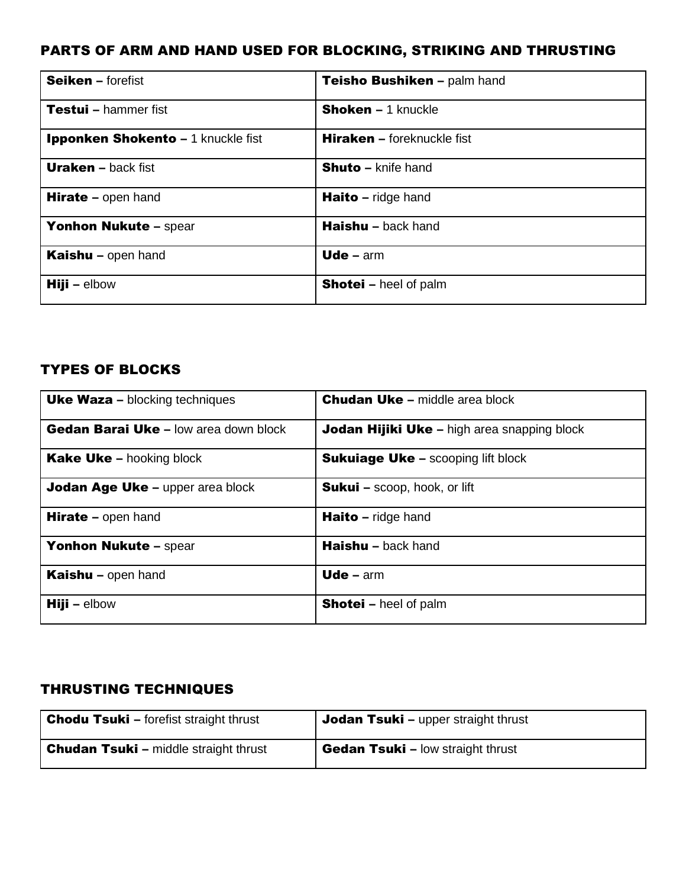## PARTS OF ARM AND HAND USED FOR BLOCKING, STRIKING AND THRUSTING

| <b>Seiken</b> – forefist                  | Teisho Bushiken - palm hand       |
|-------------------------------------------|-----------------------------------|
| Testui - hammer fist                      | <b>Shoken</b> - 1 knuckle         |
| <b>Ipponken Shokento - 1 knuckle fist</b> | <b>Hiraken</b> – foreknuckle fist |
| <b>Uraken</b> – back fist                 | <b>Shuto</b> – knife hand         |
| <b>Hirate</b> – open hand                 | <b>Haito</b> – ridge hand         |
| Yonhon Nukute - spear                     | <b>Haishu</b> – back hand         |
| Kaishu - open hand                        | Ude $-$ arm                       |
| <b>Hiji</b> - elbow                       | <b>Shotei</b> – heel of palm      |

#### TYPES OF BLOCKS

| <b>Uke Waza</b> – blocking techniques   | <b>Chudan Uke - middle area block</b>              |
|-----------------------------------------|----------------------------------------------------|
| Gedan Barai Uke - low area down block   | <b>Jodan Hijiki Uke</b> – high area snapping block |
| <b>Kake Uke</b> – hooking block         | <b>Sukuiage Uke</b> - scooping lift block          |
| <b>Jodan Age Uke</b> - upper area block | <b>Sukui</b> – scoop, hook, or lift                |
| <b>Hirate</b> – open hand               | <b>Haito</b> – ridge hand                          |
| Yonhon Nukute - spear                   | <b>Haishu</b> – back hand                          |
| Kaishu - open hand                      | $Ude - arm$                                        |
| <b>Hiji</b> - elbow                     | <b>Shotei</b> – heel of palm                       |

#### THRUSTING TECHNIQUES

| <b>Chodu Tsuki</b> – forefist straight thrust | <b>Jodan Tsuki</b> – upper straight thrust |
|-----------------------------------------------|--------------------------------------------|
| <b>Chudan Tsuki</b> – middle straight thrust  | <b>Gedan Tsuki</b> – low straight thrust   |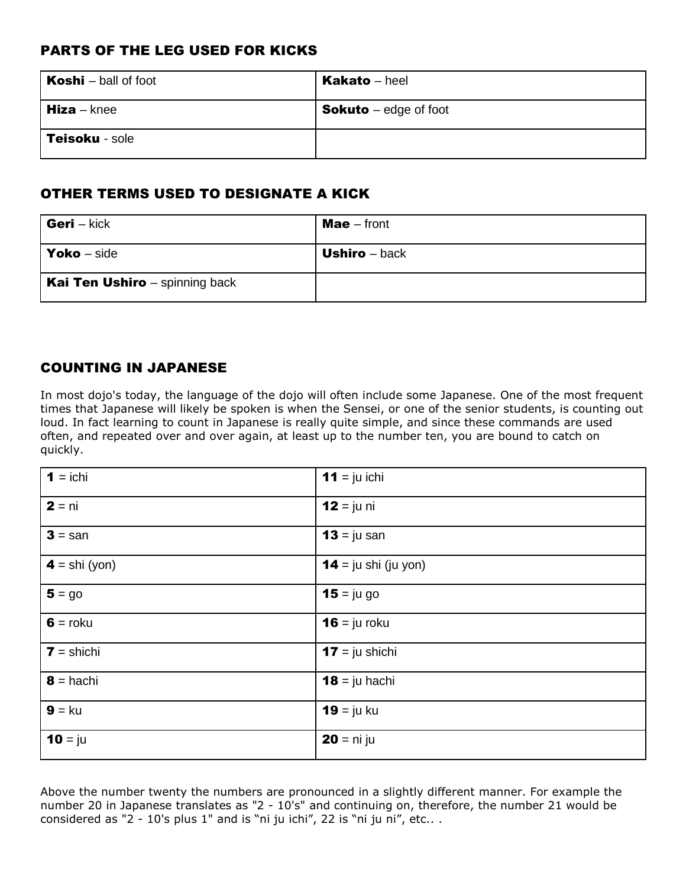#### PARTS OF THE LEG USED FOR KICKS

| <b>Koshi</b> – ball of foot | <b>Kakato</b> – heel         |
|-----------------------------|------------------------------|
| <b>Hiza</b> – knee          | <b>Sokuto</b> – edge of foot |
| Teisoku - sole              |                              |

#### OTHER TERMS USED TO DESIGNATE A KICK

| <b>Geri</b> – kick                    | <b>Mae</b> $-$ front |
|---------------------------------------|----------------------|
| Yoko – side                           | <b>Ushiro</b> – back |
| <b>Kai Ten Ushiro</b> – spinning back |                      |

#### COUNTING IN JAPANESE

In most dojo's today, the language of the dojo will often include some Japanese. One of the most frequent times that Japanese will likely be spoken is when the Sensei, or one of the senior students, is counting out loud. In fact learning to count in Japanese is really quite simple, and since these commands are used often, and repeated over and over again, at least up to the number ten, you are bound to catch on quickly.

| $1 =$ ichi                   | $11 = ju$ ichi                                |
|------------------------------|-----------------------------------------------|
| $2 = ni$                     | <b>12</b> = $ju ni$                           |
| $3 = \text{san}$             | $13 = ju$ san                                 |
| $4 = \text{shi}(\text{yon})$ | $14 = ju \, \text{shi} \, (ju \, \text{yon})$ |
| $5 = go$                     | <b>15</b> = $ju$ go                           |
| $6 = \text{roku}$            | $16 = ju$ roku                                |
| $7 = \text{shichi}$          | $17 = ju \text{ shichi}$                      |
| $8 =$ hachi                  | $18 = ju$ hachi                               |
| $9 = ku$                     | <b>19</b> = $ju$ ku                           |
| $10 = ju$                    | $20 = ni ju$                                  |

Above the number twenty the numbers are pronounced in a slightly different manner. For example the number 20 in Japanese translates as "2 - 10's" and continuing on, therefore, the number 21 would be considered as "2 - 10's plus 1" and is "ni ju ichi", 22 is "ni ju ni", etc...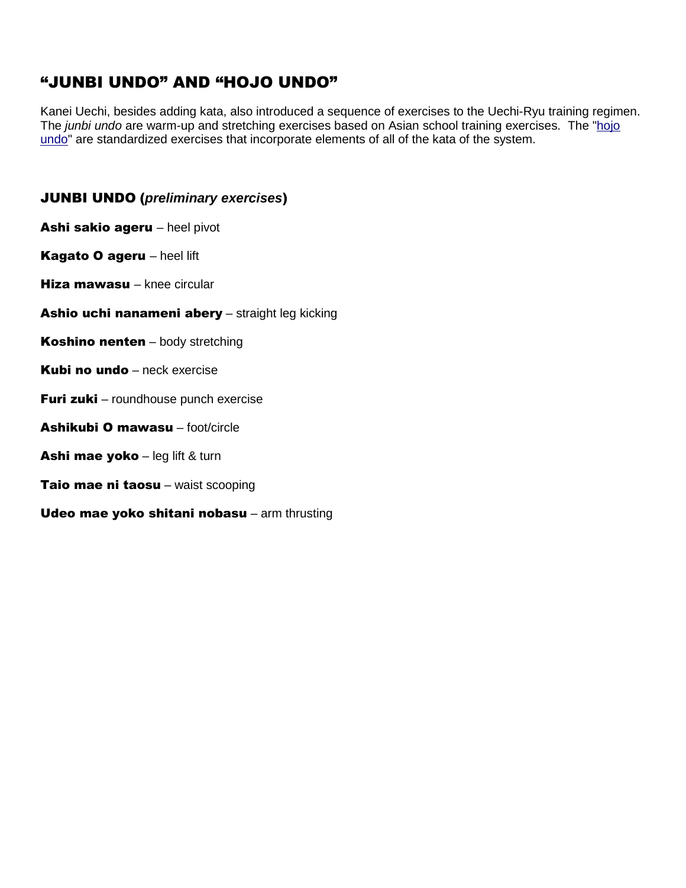## "JUNBI UNDO" AND "HOJO UNDO"

Kanei Uechi, besides adding kata, also introduced a sequence of exercises to the Uechi-Ryu training regimen. The junbi undo are warm-up and stretching exercises based on Asian school training exercises. The "hojo undo" are standardized exercises that incorporate elements of all of the kata of the system.

#### JUNBI UNDO (**preliminary exercises**)

Ashi sakio ageru - heel pivot

Kagato O ageru – heel lift

Hiza mawasu – knee circular

Ashio uchi nanameni abery - straight leg kicking

Koshino nenten - body stretching

#### Kubi no undo - neck exercise

**Furi zuki** – roundhouse punch exercise

Ashikubi O mawasu – foot/circle

Ashi mae yoko – leg lift & turn

Taio mae ni taosu - waist scooping

Udeo mae yoko shitani nobasu – arm thrusting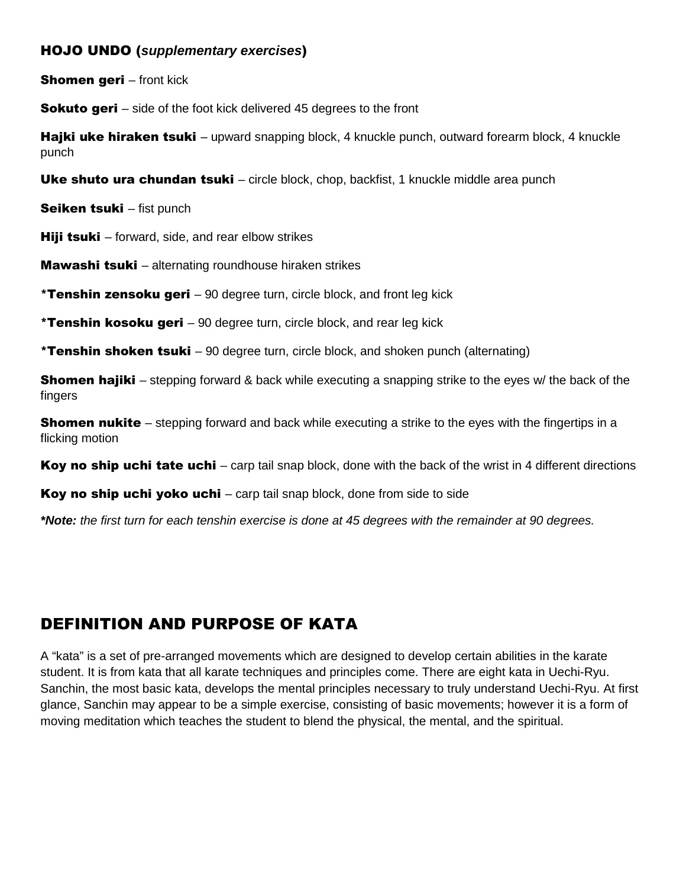#### HOJO UNDO (**supplementary exercises**)

**Shomen geri** – front kick

**Sokuto geri** – side of the foot kick delivered 45 degrees to the front

**Hajki uke hiraken tsuki** – upward snapping block, 4 knuckle punch, outward forearm block, 4 knuckle punch

Uke shuto ura chundan tsuki – circle block, chop, backfist, 1 knuckle middle area punch

Seiken tsuki – fist punch

**Hiji tsuki** – forward, side, and rear elbow strikes

**Mawashi tsuki** – alternating roundhouse hiraken strikes

**\*Tenshin zensoku geri**  $-90$  degree turn, circle block, and front leg kick

**\*Tenshin kosoku geri**  $-90$  degree turn, circle block, and rear leg kick

\*Tenshin shoken tsuki  $-90$  degree turn, circle block, and shoken punch (alternating)

**Shomen hajiki** – stepping forward & back while executing a snapping strike to the eyes w/ the back of the fingers

**Shomen nukite** – stepping forward and back while executing a strike to the eyes with the fingertips in a flicking motion

Koy no ship uchi tate uchi – carp tail snap block, done with the back of the wrist in 4 different directions

Koy no ship uchi yoko uchi – carp tail snap block, done from side to side

**\*Note:** the first turn for each tenshin exercise is done at 45 degrees with the remainder at 90 degrees.

### DEFINITION AND PURPOSE OF KATA

A "kata" is a set of pre-arranged movements which are designed to develop certain abilities in the karate student. It is from kata that all karate techniques and principles come. There are eight kata in Uechi-Ryu. Sanchin, the most basic kata, develops the mental principles necessary to truly understand Uechi-Ryu. At first glance, Sanchin may appear to be a simple exercise, consisting of basic movements; however it is a form of moving meditation which teaches the student to blend the physical, the mental, and the spiritual.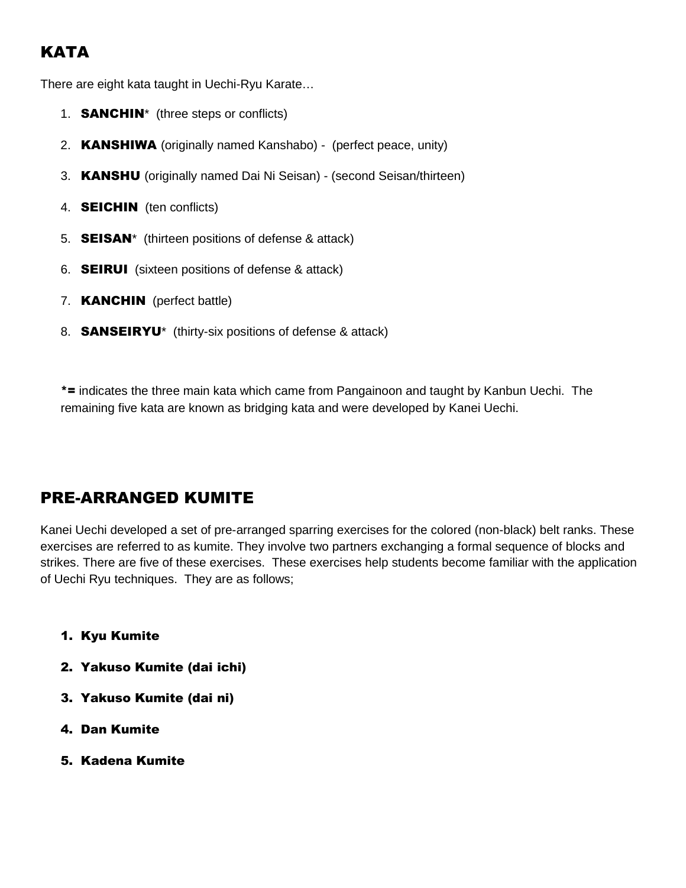## **KATA**

There are eight kata taught in Uechi-Ryu Karate…

- 1. **SANCHIN**<sup>\*</sup> (three steps or conflicts)
- 2. **KANSHIWA** (originally named Kanshabo) (perfect peace, unity)
- 3. KANSHU (originally named Dai Ni Seisan) (second Seisan/thirteen)
- 4. **SEICHIN** (ten conflicts)
- 5. SEISAN\* (thirteen positions of defense & attack)
- 6. SEIRUI (sixteen positions of defense & attack)
- 7. KANCHIN (perfect battle)
- 8. **SANSEIRYU**<sup>\*</sup> (thirty-six positions of defense & attack)

\*= indicates the three main kata which came from Pangainoon and taught by Kanbun Uechi. The remaining five kata are known as bridging kata and were developed by Kanei Uechi.

## PRE-ARRANGED KUMITE

Kanei Uechi developed a set of pre-arranged sparring exercises for the colored (non-black) belt ranks. These exercises are referred to as kumite. They involve two partners exchanging a formal sequence of blocks and strikes. There are five of these exercises. These exercises help students become familiar with the application of Uechi Ryu techniques. They are as follows;

- 1. Kyu Kumite
- 2. Yakuso Kumite (dai ichi)
- 3. Yakuso Kumite (dai ni)
- 4. Dan Kumite
- 5. Kadena Kumite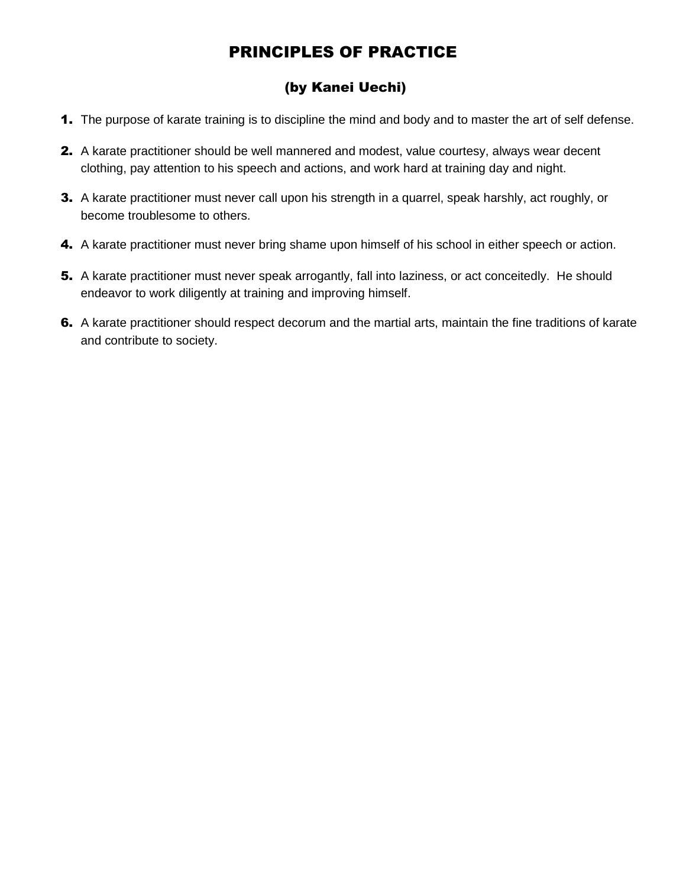## PRINCIPLES OF PRACTICE

#### (by Kanei Uechi)

- 1. The purpose of karate training is to discipline the mind and body and to master the art of self defense.
- **2.** A karate practitioner should be well mannered and modest, value courtesy, always wear decent clothing, pay attention to his speech and actions, and work hard at training day and night.
- 3. A karate practitioner must never call upon his strength in a quarrel, speak harshly, act roughly, or become troublesome to others.
- 4. A karate practitioner must never bring shame upon himself of his school in either speech or action.
- **5.** A karate practitioner must never speak arrogantly, fall into laziness, or act conceitedly. He should endeavor to work diligently at training and improving himself.
- 6. A karate practitioner should respect decorum and the martial arts, maintain the fine traditions of karate and contribute to society.